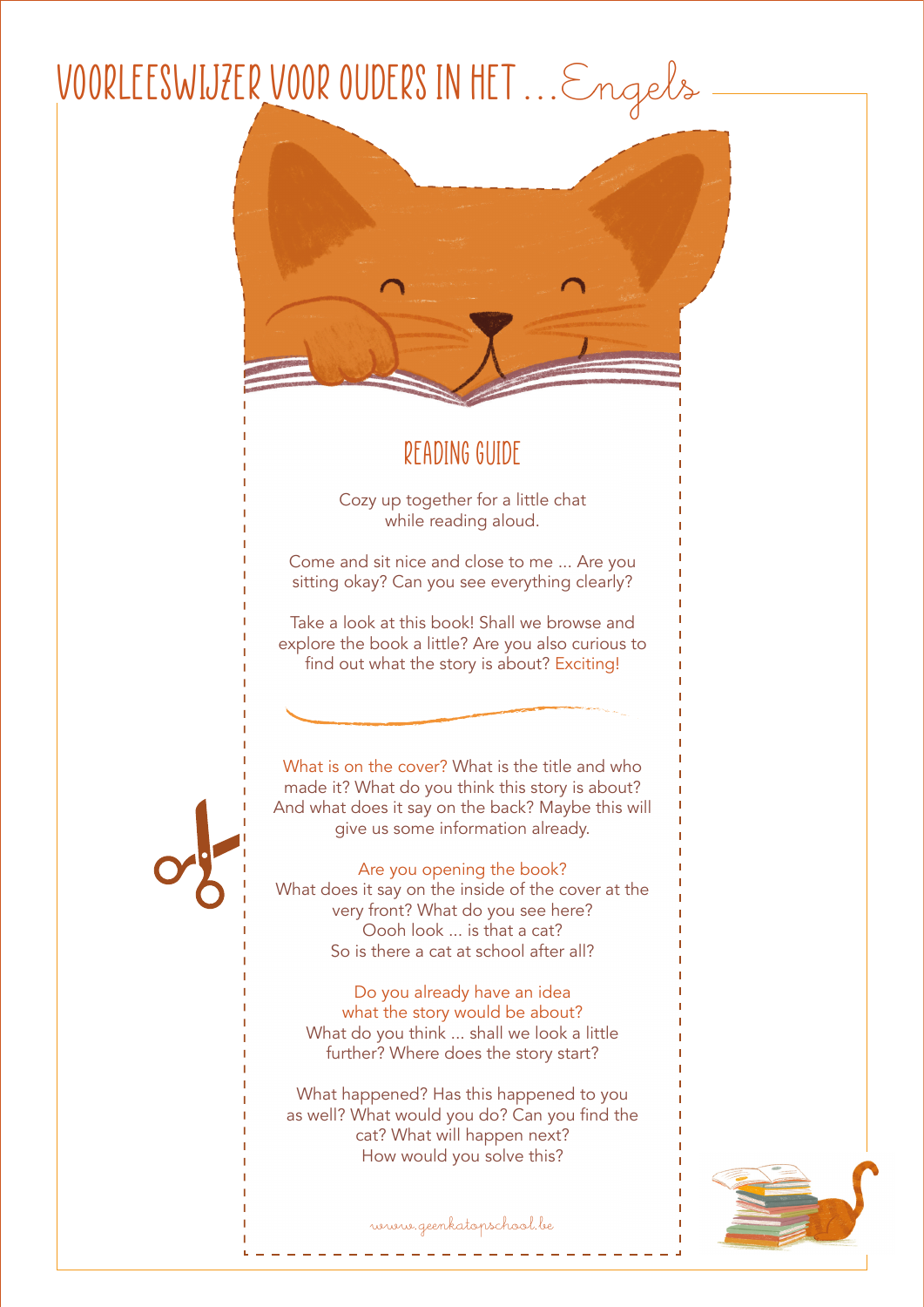## voorleeswijzer voor ouders in het ...Engels



## Reading Guide

Cozy up together for a little chat while reading aloud.

Come and sit nice and close to me ... Are you sitting okay? Can you see everything clearly?

Take a look at this book! Shall we browse and explore the book a little? Are you also curious to find out what the story is about? Exciting!



What is on the cover? What is the title and who made it? What do you think this story is about? And what does it say on the back? Maybe this will give us some information already.

Are you opening the book? What does it say on the inside of the cover at the very front? What do you see here? Oooh look ... is that a cat? So is there a cat at school after all?

Do you already have an idea what the story would be about? What do you think ... shall we look a little further? Where does the story start?

What happened? Has this happened to you as well? What would you do? Can you find the cat? What will happen next? How would you solve this?



www.geenkatopschool.be